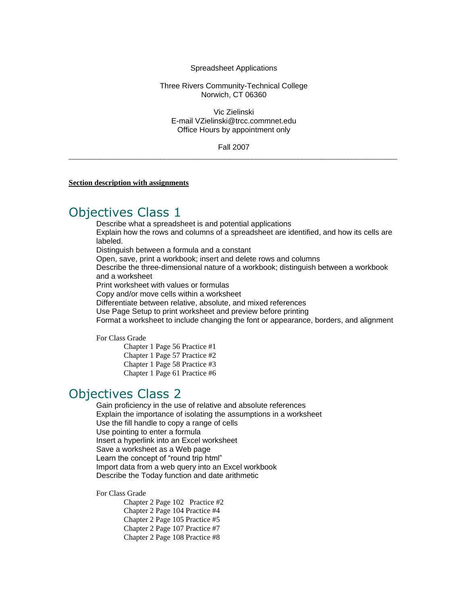#### Spreadsheet Applications

### Three Rivers Community-Technical College Norwich, CT 06360

Vic Zielinski E-mail VZielinski@trcc.commnet.edu Office Hours by appointment only

Fall 2007  $\_$  ,  $\_$  ,  $\_$  ,  $\_$  ,  $\_$  ,  $\_$  ,  $\_$  ,  $\_$  ,  $\_$  ,  $\_$  ,  $\_$  ,  $\_$  ,  $\_$  ,  $\_$  ,  $\_$  ,  $\_$  ,  $\_$  ,  $\_$  ,  $\_$  ,  $\_$  ,  $\_$  ,  $\_$  ,  $\_$  ,  $\_$  ,  $\_$  ,  $\_$  ,  $\_$  ,  $\_$  ,  $\_$  ,  $\_$  ,  $\_$  ,  $\_$  ,  $\_$  ,  $\_$  ,  $\_$  ,  $\_$  ,  $\_$  ,

**Section description with assignments**

### Objectives Class 1

Describe what a spreadsheet is and potential applications Explain how the rows and columns of a spreadsheet are identified, and how its cells are labeled. Distinguish between a formula and a constant Open, save, print a workbook; insert and delete rows and columns

Describe the three-dimensional nature of a workbook; distinguish between a workbook and a worksheet

Print worksheet with values or formulas

Copy and/or move cells within a worksheet

Differentiate between relative, absolute, and mixed references

Use Page Setup to print worksheet and preview before printing

Format a worksheet to include changing the font or appearance, borders, and alignment

For Class Grade

Chapter 1 Page 56 Practice #1 Chapter 1 Page 57 Practice #2 Chapter 1 Page 58 Practice #3 Chapter 1 Page 61 Practice #6

## Objectives Class 2

Gain proficiency in the use of relative and absolute references Explain the importance of isolating the assumptions in a worksheet Use the fill handle to copy a range of cells Use pointing to enter a formula Insert a hyperlink into an Excel worksheet Save a worksheet as a Web page Learn the concept of "round trip html" Import data from a web query into an Excel workbook Describe the Today function and date arithmetic

For Class Grade

Chapter 2 Page 102 Practice #2 Chapter 2 Page 104 Practice #4 Chapter 2 Page 105 Practice #5 Chapter 2 Page 107 Practice #7 Chapter 2 Page 108 Practice #8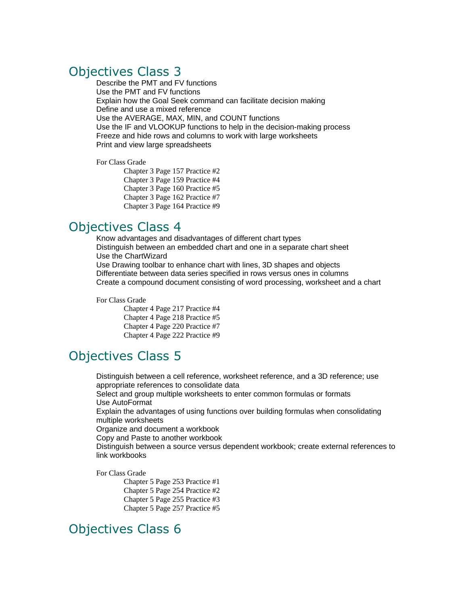# Objectives Class 3

Describe the PMT and FV functions Use the PMT and FV functions Explain how the Goal Seek command can facilitate decision making Define and use a mixed reference Use the AVERAGE, MAX, MIN, and COUNT functions Use the IF and VLOOKUP functions to help in the decision-making process Freeze and hide rows and columns to work with large worksheets Print and view large spreadsheets

#### For Class Grade

Chapter 3 Page 157 Practice #2 Chapter 3 Page 159 Practice #4 Chapter 3 Page 160 Practice #5 Chapter 3 Page 162 Practice #7 Chapter 3 Page 164 Practice #9

### Objectives Class 4

Know advantages and disadvantages of different chart types Distinguish between an embedded chart and one in a separate chart sheet Use the ChartWizard Use Drawing toolbar to enhance chart with lines, 3D shapes and objects Differentiate between data series specified in rows versus ones in columns Create a compound document consisting of word processing, worksheet and a chart

For Class Grade

Chapter 4 Page 217 Practice #4 Chapter 4 Page 218 Practice #5 Chapter 4 Page 220 Practice #7 Chapter 4 Page 222 Practice #9

# Objectives Class 5

Distinguish between a cell reference, worksheet reference, and a 3D reference; use appropriate references to consolidate data Select and group multiple worksheets to enter common formulas or formats Use AutoFormat Explain the advantages of using functions over building formulas when consolidating multiple worksheets Organize and document a workbook Copy and Paste to another workbook Distinguish between a source versus dependent workbook; create external references to link workbooks

For Class Grade

Chapter 5 Page 253 Practice #1 Chapter 5 Page 254 Practice #2 Chapter 5 Page 255 Practice #3 Chapter 5 Page 257 Practice #5

# Objectives Class 6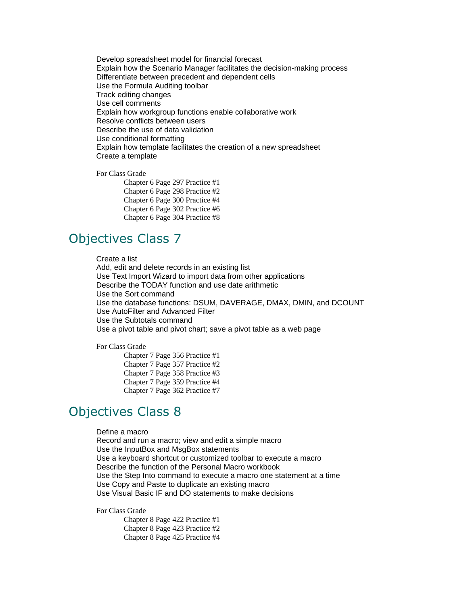Develop spreadsheet model for financial forecast Explain how the Scenario Manager facilitates the decision-making process Differentiate between precedent and dependent cells Use the Formula Auditing toolbar Track editing changes Use cell comments Explain how workgroup functions enable collaborative work Resolve conflicts between users Describe the use of data validation Use conditional formatting Explain how template facilitates the creation of a new spreadsheet Create a template

For Class Grade

Chapter 6 Page 297 Practice #1 Chapter 6 Page 298 Practice #2 Chapter 6 Page 300 Practice #4 Chapter 6 Page 302 Practice #6 Chapter 6 Page 304 Practice #8

# Objectives Class 7

Create a list

Add, edit and delete records in an existing list Use Text Import Wizard to import data from other applications Describe the TODAY function and use date arithmetic Use the Sort command Use the database functions: DSUM, DAVERAGE, DMAX, DMIN, and DCOUNT Use AutoFilter and Advanced Filter Use the Subtotals command Use a pivot table and pivot chart; save a pivot table as a web page

For Class Grade

Chapter 7 Page 356 Practice #1 Chapter 7 Page 357 Practice #2 Chapter 7 Page 358 Practice #3 Chapter 7 Page 359 Practice #4 Chapter 7 Page 362 Practice #7

# Objectives Class 8

Define a macro Record and run a macro; view and edit a simple macro Use the InputBox and MsgBox statements Use a keyboard shortcut or customized toolbar to execute a macro Describe the function of the Personal Macro workbook Use the Step Into command to execute a macro one statement at a time Use Copy and Paste to duplicate an existing macro Use Visual Basic IF and DO statements to make decisions

For Class Grade

Chapter 8 Page 422 Practice #1 Chapter 8 Page 423 Practice #2 Chapter 8 Page 425 Practice #4